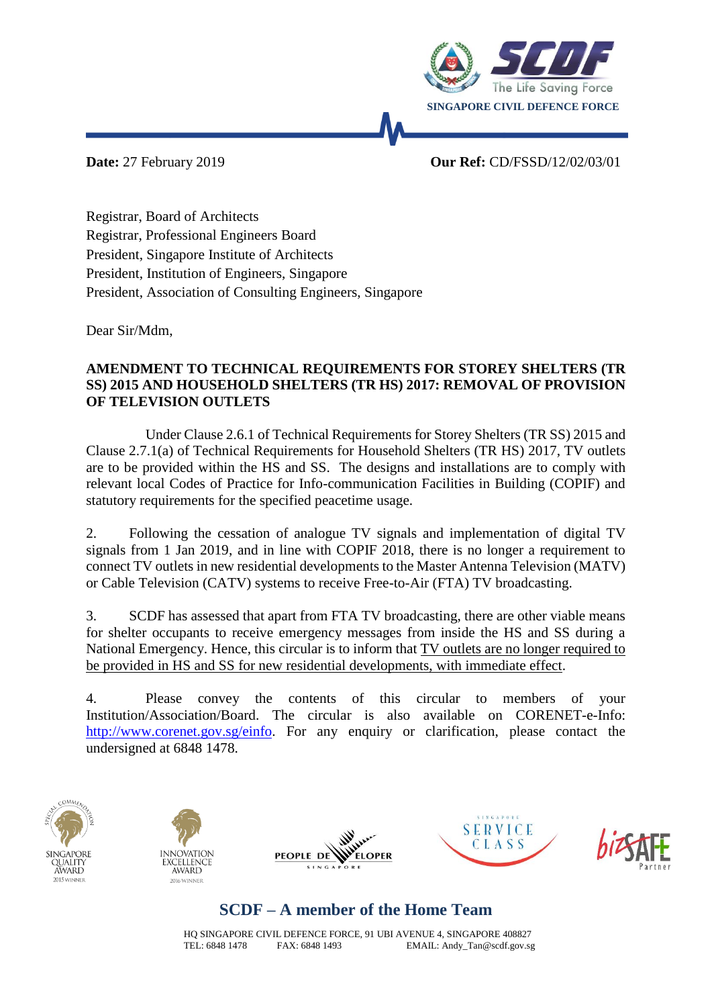

## **Date:** 27 February 2019 **Our Ref:** CD/FSSD/12/02/03/01

Registrar, Board of Architects Registrar, Professional Engineers Board President, Singapore Institute of Architects President, Institution of Engineers, Singapore President, Association of Consulting Engineers, Singapore

Dear Sir/Mdm,

## **AMENDMENT TO TECHNICAL REQUIREMENTS FOR STOREY SHELTERS (TR SS) 2015 AND HOUSEHOLD SHELTERS (TR HS) 2017: REMOVAL OF PROVISION OF TELEVISION OUTLETS**

Under Clause 2.6.1 of Technical Requirements for Storey Shelters (TR SS) 2015 and Clause 2.7.1(a) of Technical Requirements for Household Shelters (TR HS) 2017, TV outlets are to be provided within the HS and SS. The designs and installations are to comply with relevant local Codes of Practice for Info-communication Facilities in Building (COPIF) and statutory requirements for the specified peacetime usage.

2. Following the cessation of analogue TV signals and implementation of digital TV signals from 1 Jan 2019, and in line with COPIF 2018, there is no longer a requirement to connect TV outlets in new residential developments to the Master Antenna Television (MATV) or Cable Television (CATV) systems to receive Free-to-Air (FTA) TV broadcasting.

3. SCDF has assessed that apart from FTA TV broadcasting, there are other viable means for shelter occupants to receive emergency messages from inside the HS and SS during a National Emergency. Hence, this circular is to inform that TV outlets are no longer required to be provided in HS and SS for new residential developments, with immediate effect.

4. Please convey the contents of this circular to members of your Institution/Association/Board. The circular is also available on CORENET-e-Info: [http://www.corenet.gov.sg/einfo.](http://www.corenet.gov.sg/einfo) For any enquiry or clarification, please contact the undersigned at 6848 1478.











## **SCDF – A member of the Home Team**